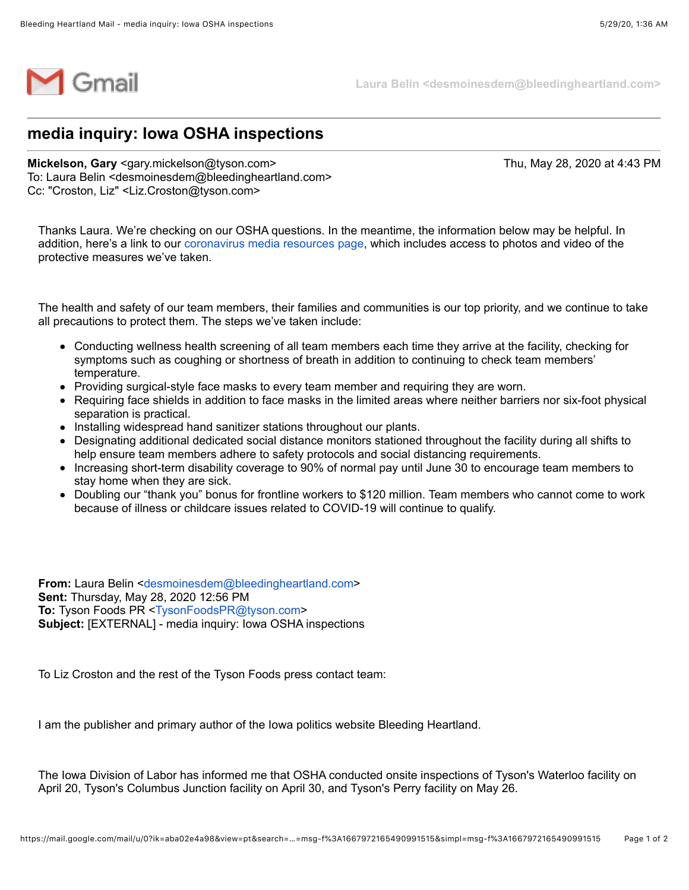

**Laura Belin <desmoinesdem@bleedingheartland.com>**

## **media inquiry: Iowa OSHA inspections**

**Mickelson, Gary** <gary.mickelson@tyson.com> Thu, May 28, 2020 at 4:43 PM To: Laura Belin <desmoinesdem@bleedingheartland.com> Cc: "Croston, Liz" <Liz.Croston@tyson.com>

Thanks Laura. We're checking on our OSHA questions. In the meantime, the information below may be helpful. In addition, here's a link to our [coronavirus media resources page](https://www.tysonfoods.com/news/media-resources/coronavirus), which includes access to photos and video of the protective measures we've taken.

The health and safety of our team members, their families and communities is our top priority, and we continue to take all precautions to protect them. The steps we've taken include:

- Conducting wellness health screening of all team members each time they arrive at the facility, checking for symptoms such as coughing or shortness of breath in addition to continuing to check team members' temperature.
- Providing surgical-style face masks to every team member and requiring they are worn.
- Requiring face shields in addition to face masks in the limited areas where neither barriers nor six-foot physical separation is practical.
- Installing widespread hand sanitizer stations throughout our plants.
- Designating additional dedicated social distance monitors stationed throughout the facility during all shifts to help ensure team members adhere to safety protocols and social distancing requirements.
- Increasing short-term disability coverage to 90% of normal pay until June 30 to encourage team members to stay home when they are sick.
- Doubling our "thank you" bonus for frontline workers to \$120 million. Team members who cannot come to work because of illness or childcare issues related to COVID-19 will continue to qualify.

**From:** Laura Belin <[desmoinesdem@bleedingheartland.com](mailto:desmoinesdem@bleedingheartland.com)> **Sent:** Thursday, May 28, 2020 12:56 PM **To:** Tyson Foods PR [<TysonFoodsPR@tyson.com](mailto:TysonFoodsPR@tyson.com)> **Subject:** [EXTERNAL] - media inquiry: Iowa OSHA inspections

To Liz Croston and the rest of the Tyson Foods press contact team:

I am the publisher and primary author of the Iowa politics website Bleeding Heartland.

The Iowa Division of Labor has informed me that OSHA conducted onsite inspections of Tyson's Waterloo facility on April 20, Tyson's Columbus Junction facility on April 30, and Tyson's Perry facility on May 26.